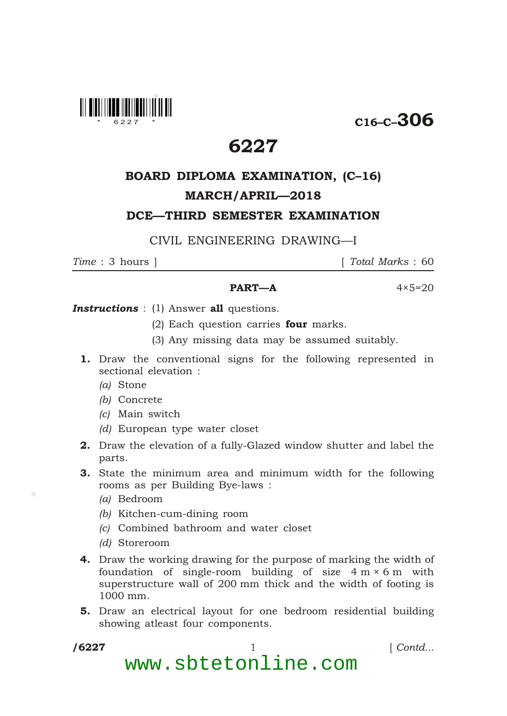

C16–C–306

## 6227

# BOARD DIPLOMA EXAMINATION, (C–16) MARCH/APRIL—2018

DCE—THIRD SEMESTER EXAMINATION

### CIVIL ENGINEERING DRAWING—I

*Time* : 3 hours ] [ *Total Marks* : 60

### $PART-A$   $4 \times 5=20$

**Instructions** : (1) Answer all questions.

- (2) Each question carries **four** marks.
- (3) Any missing data may be assumed suitably.
- 1. Draw the conventional signs for the following represented in sectional elevation :
	- *(a)* Stone
	- *(b)* Concrete
	- *(c)* Main switch
	- *(d)* European type water closet
- 2. Draw the elevation of a fully-Glazed window shutter and label the parts.
- 3. State the minimum area and minimum width for the following rooms as per Building Bye-laws :
	- *(a)* Bedroom
	- *(b)* Kitchen-cum-dining room
	- *(c)* Combined bathroom and water closet
	- *(d)* Storeroom
- 4. Draw the working drawing for the purpose of marking the width of foundation of single-room building of size  $4 \text{ m} \times 6 \text{ m}$  with superstructure wall of 200 mm thick and the width of footing is 1000 mm.
- 5. Draw an electrical layout for one bedroom residential building showing atleast four components.
- /6227

\*

1 *Contd...* 

www.sbtetonline.com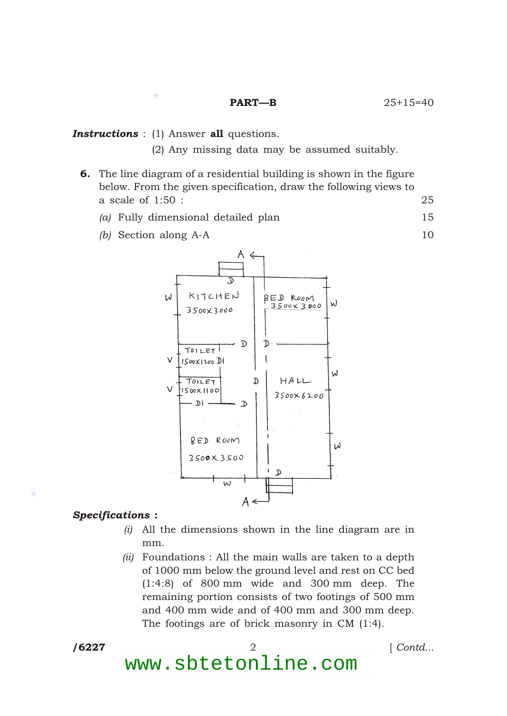\*

(2) Any missing data may be assumed suitably.

- 6. The line diagram of a residential building is shown in the figure below. From the given specification, draw the following views to a scale of 1:50 : 25
	- *(a)* Fully dimensional detailed plan 15
	- *(b)* Section along A-A 10



#### *Specifications* :

- *(i)* All the dimensions shown in the line diagram are in mm.
- *(ii)* Foundations : All the main walls are taken to a depth of 1000 mm below the ground level and rest on CC bed (1:4:8) of 800 mm wide and 300 mm deep. The remaining portion consists of two footings of 500 mm and 400 mm wide and of 400 mm and 300 mm deep. The footings are of brick masonry in CM (1:4).

/6227

\*

/6227 2 [ *Contd...*

www.sbtetonline.com